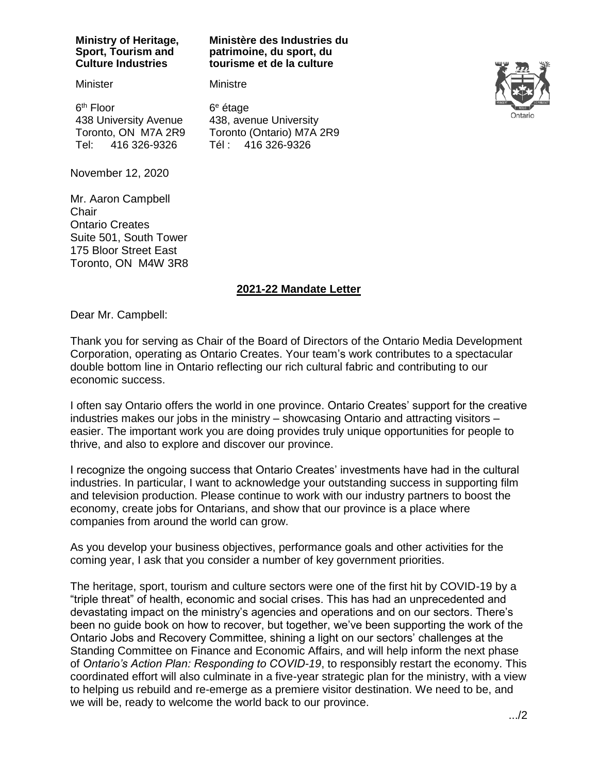#### **Ministry of Heritage, Sport, Tourism and Culture Industries**

#### **Ministère des Industries du patrimoine, du sport, du tourisme et de la culture**

Minister

6<sup>th</sup> Floor 438 University Avenue Toronto, ON M7A 2R9 Tel: 416 326-9326

6 <sup>e</sup> étage 438, avenue University Toronto (Ontario) M7A 2R9 Tél : 416 326-9326

Ministre



November 12, 2020

Mr. Aaron Campbell **Chair** Ontario Creates Suite 501, South Tower 175 Bloor Street East Toronto, ON M4W 3R8

# **2021-22 Mandate Letter**

Dear Mr. Campbell:

Thank you for serving as Chair of the Board of Directors of the Ontario Media Development Corporation, operating as Ontario Creates. Your team's work contributes to a spectacular double bottom line in Ontario reflecting our rich cultural fabric and contributing to our economic success.

I often say Ontario offers the world in one province. Ontario Creates' support for the creative industries makes our jobs in the ministry – showcasing Ontario and attracting visitors – easier. The important work you are doing provides truly unique opportunities for people to thrive, and also to explore and discover our province.

I recognize the ongoing success that Ontario Creates' investments have had in the cultural industries. In particular, I want to acknowledge your outstanding success in supporting film and television production. Please continue to work with our industry partners to boost the economy, create jobs for Ontarians, and show that our province is a place where companies from around the world can grow.

As you develop your business objectives, performance goals and other activities for the coming year, I ask that you consider a number of key government priorities.

The heritage, sport, tourism and culture sectors were one of the first hit by COVID-19 by a "triple threat" of health, economic and social crises. This has had an unprecedented and devastating impact on the ministry's agencies and operations and on our sectors. There's been no guide book on how to recover, but together, we've been supporting the work of the Ontario Jobs and Recovery Committee, shining a light on our sectors' challenges at the Standing Committee on Finance and Economic Affairs, and will help inform the next phase of *Ontario's Action Plan: Responding to COVID-19*, to responsibly restart the economy. This coordinated effort will also culminate in a five-year strategic plan for the ministry, with a view to helping us rebuild and re-emerge as a premiere visitor destination. We need to be, and we will be, ready to welcome the world back to our province.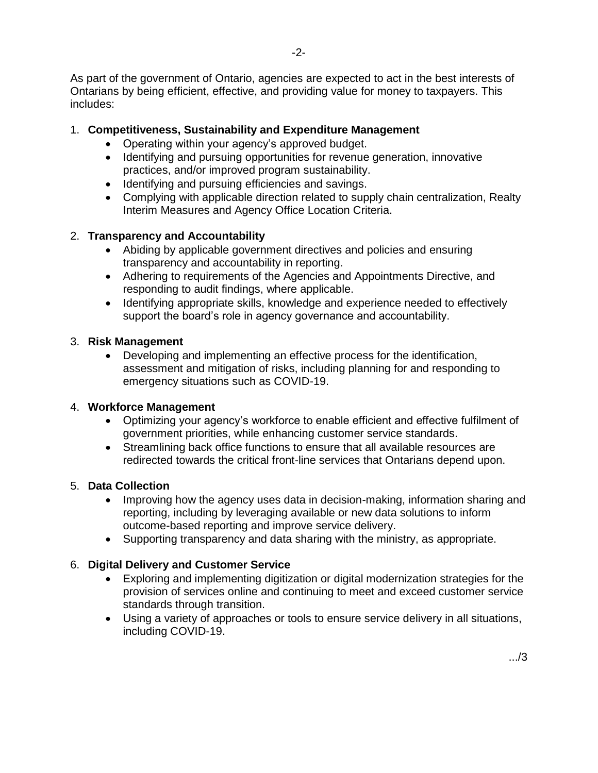As part of the government of Ontario, agencies are expected to act in the best interests of Ontarians by being efficient, effective, and providing value for money to taxpayers. This includes:

# 1. **Competitiveness, Sustainability and Expenditure Management**

- Operating within your agency's approved budget.
- Identifying and pursuing opportunities for revenue generation, innovative practices, and/or improved program sustainability.
- Identifying and pursuing efficiencies and savings.
- Complying with applicable direction related to supply chain centralization, Realty Interim Measures and Agency Office Location Criteria.

# 2. **Transparency and Accountability**

- Abiding by applicable government directives and policies and ensuring transparency and accountability in reporting.
- Adhering to requirements of the Agencies and Appointments Directive, and responding to audit findings, where applicable.
- Identifying appropriate skills, knowledge and experience needed to effectively support the board's role in agency governance and accountability.

#### 3. **Risk Management**

• Developing and implementing an effective process for the identification, assessment and mitigation of risks, including planning for and responding to emergency situations such as COVID-19.

# 4. **Workforce Management**

- Optimizing your agency's workforce to enable efficient and effective fulfilment of government priorities, while enhancing customer service standards.
- Streamlining back office functions to ensure that all available resources are redirected towards the critical front-line services that Ontarians depend upon.

# 5. **Data Collection**

- Improving how the agency uses data in decision-making, information sharing and reporting, including by leveraging available or new data solutions to inform outcome-based reporting and improve service delivery.
- Supporting transparency and data sharing with the ministry, as appropriate.

# 6. **Digital Delivery and Customer Service**

- Exploring and implementing digitization or digital modernization strategies for the provision of services online and continuing to meet and exceed customer service standards through transition.
- Using a variety of approaches or tools to ensure service delivery in all situations, including COVID-19.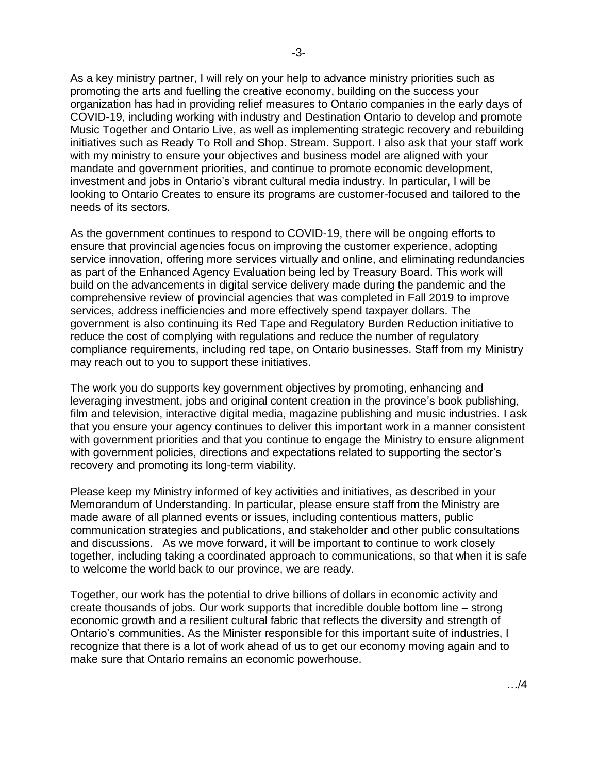As a key ministry partner, I will rely on your help to advance ministry priorities such as promoting the arts and fuelling the creative economy, building on the success your organization has had in providing relief measures to Ontario companies in the early days of COVID-19, including working with industry and Destination Ontario to develop and promote Music Together and Ontario Live, as well as implementing strategic recovery and rebuilding initiatives such as Ready To Roll and Shop. Stream. Support. I also ask that your staff work with my ministry to ensure your objectives and business model are aligned with your mandate and government priorities, and continue to promote economic development, investment and jobs in Ontario's vibrant cultural media industry. In particular, I will be looking to Ontario Creates to ensure its programs are customer-focused and tailored to the needs of its sectors.

As the government continues to respond to COVID-19, there will be ongoing efforts to ensure that provincial agencies focus on improving the customer experience, adopting service innovation, offering more services virtually and online, and eliminating redundancies as part of the Enhanced Agency Evaluation being led by Treasury Board. This work will build on the advancements in digital service delivery made during the pandemic and the comprehensive review of provincial agencies that was completed in Fall 2019 to improve services, address inefficiencies and more effectively spend taxpayer dollars. The government is also continuing its Red Tape and Regulatory Burden Reduction initiative to reduce the cost of complying with regulations and reduce the number of regulatory compliance requirements, including red tape, on Ontario businesses. Staff from my Ministry may reach out to you to support these initiatives.

The work you do supports key government objectives by promoting, enhancing and leveraging investment, jobs and original content creation in the province's book publishing, film and television, interactive digital media, magazine publishing and music industries. I ask that you ensure your agency continues to deliver this important work in a manner consistent with government priorities and that you continue to engage the Ministry to ensure alignment with government policies, directions and expectations related to supporting the sector's recovery and promoting its long-term viability.

Please keep my Ministry informed of key activities and initiatives, as described in your Memorandum of Understanding. In particular, please ensure staff from the Ministry are made aware of all planned events or issues, including contentious matters, public communication strategies and publications, and stakeholder and other public consultations and discussions. As we move forward, it will be important to continue to work closely together, including taking a coordinated approach to communications, so that when it is safe to welcome the world back to our province, we are ready.

Together, our work has the potential to drive billions of dollars in economic activity and create thousands of jobs. Our work supports that incredible double bottom line – strong economic growth and a resilient cultural fabric that reflects the diversity and strength of Ontario's communities. As the Minister responsible for this important suite of industries, I recognize that there is a lot of work ahead of us to get our economy moving again and to make sure that Ontario remains an economic powerhouse.